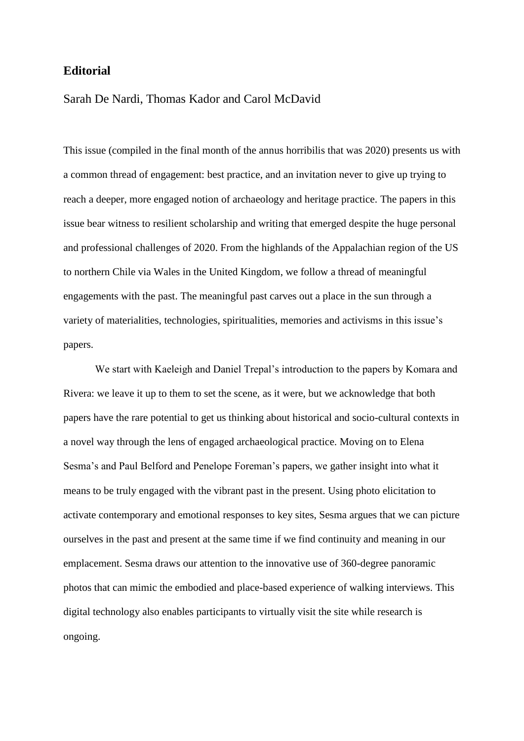## **Editorial**

## Sarah De Nardi, Thomas Kador and Carol McDavid

This issue (compiled in the final month of the annus horribilis that was 2020) presents us with a common thread of engagement: best practice, and an invitation never to give up trying to reach a deeper, more engaged notion of archaeology and heritage practice. The papers in this issue bear witness to resilient scholarship and writing that emerged despite the huge personal and professional challenges of 2020. From the highlands of the Appalachian region of the US to northern Chile via Wales in the United Kingdom, we follow a thread of meaningful engagements with the past. The meaningful past carves out a place in the sun through a variety of materialities, technologies, spiritualities, memories and activisms in this issue's papers.

We start with Kaeleigh and Daniel Trepal's introduction to the papers by Komara and Rivera: we leave it up to them to set the scene, as it were, but we acknowledge that both papers have the rare potential to get us thinking about historical and socio-cultural contexts in a novel way through the lens of engaged archaeological practice. Moving on to Elena Sesma's and Paul Belford and Penelope Foreman's papers, we gather insight into what it means to be truly engaged with the vibrant past in the present. Using photo elicitation to activate contemporary and emotional responses to key sites, Sesma argues that we can picture ourselves in the past and present at the same time if we find continuity and meaning in our emplacement. Sesma draws our attention to the innovative use of 360-degree panoramic photos that can mimic the embodied and place-based experience of walking interviews. This digital technology also enables participants to virtually visit the site while research is ongoing.